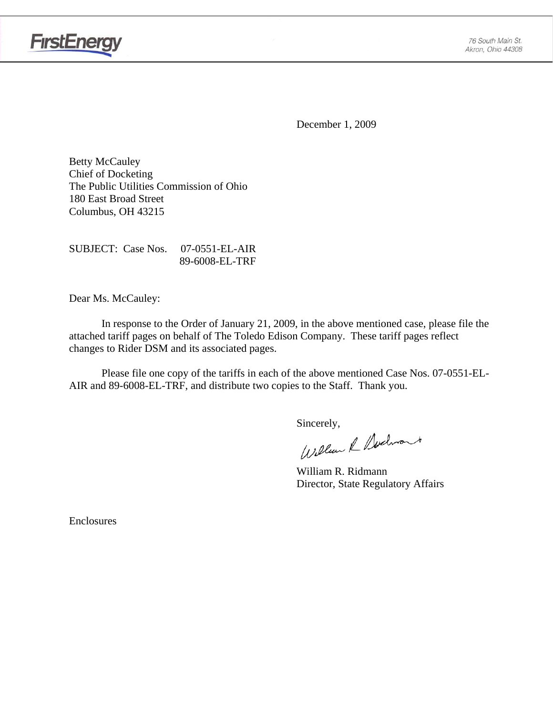

December 1, 2009

Betty McCauley Chief of Docketing The Public Utilities Commission of Ohio 180 East Broad Street Columbus, OH 43215

SUBJECT: Case Nos. 07-0551-EL-AIR 89-6008-EL-TRF

Dear Ms. McCauley:

 In response to the Order of January 21, 2009, in the above mentioned case, please file the attached tariff pages on behalf of The Toledo Edison Company. These tariff pages reflect changes to Rider DSM and its associated pages.

Please file one copy of the tariffs in each of the above mentioned Case Nos. 07-0551-EL-AIR and 89-6008-EL-TRF, and distribute two copies to the Staff. Thank you.

Sincerely,<br>William & Nedwart

 William R. Ridmann Director, State Regulatory Affairs

Enclosures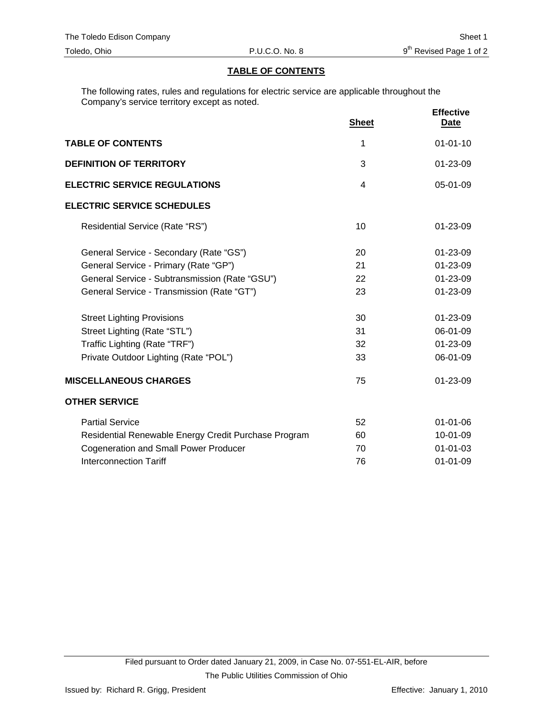#### **TABLE OF CONTENTS**

The following rates, rules and regulations for electric service are applicable throughout the Company's service territory except as noted.

|                                                      | <b>Sheet</b>   | <b>Effective</b><br><b>Date</b> |
|------------------------------------------------------|----------------|---------------------------------|
| <b>TABLE OF CONTENTS</b>                             | 1              | $01 - 01 - 10$                  |
| <b>DEFINITION OF TERRITORY</b>                       | 3              | 01-23-09                        |
| <b>ELECTRIC SERVICE REGULATIONS</b>                  | $\overline{4}$ | 05-01-09                        |
| <b>ELECTRIC SERVICE SCHEDULES</b>                    |                |                                 |
| Residential Service (Rate "RS")                      | 10             | $01 - 23 - 09$                  |
| General Service - Secondary (Rate "GS")              | 20             | 01-23-09                        |
| General Service - Primary (Rate "GP")                | 21             | 01-23-09                        |
| General Service - Subtransmission (Rate "GSU")       | 22             | 01-23-09                        |
| General Service - Transmission (Rate "GT")           | 23             | 01-23-09                        |
| <b>Street Lighting Provisions</b>                    | 30             | 01-23-09                        |
| Street Lighting (Rate "STL")                         | 31             | 06-01-09                        |
| Traffic Lighting (Rate "TRF")                        | 32             | 01-23-09                        |
| Private Outdoor Lighting (Rate "POL")                | 33             | 06-01-09                        |
| <b>MISCELLANEOUS CHARGES</b>                         | 75             | 01-23-09                        |
| <b>OTHER SERVICE</b>                                 |                |                                 |
| <b>Partial Service</b>                               | 52             | $01 - 01 - 06$                  |
| Residential Renewable Energy Credit Purchase Program | 60             | 10-01-09                        |
| <b>Cogeneration and Small Power Producer</b>         | 70             | $01 - 01 - 03$                  |
| <b>Interconnection Tariff</b>                        | 76             | $01 - 01 - 09$                  |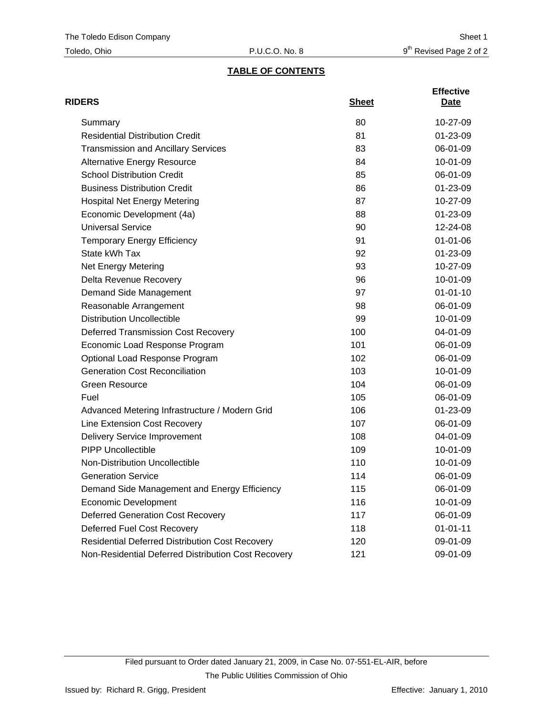## **TABLE OF CONTENTS**

| <b>RIDERS</b>                                          | <b>Sheet</b> | <b>Effective</b><br>Date |
|--------------------------------------------------------|--------------|--------------------------|
| Summary                                                | 80           | 10-27-09                 |
| <b>Residential Distribution Credit</b>                 | 81           | 01-23-09                 |
| <b>Transmission and Ancillary Services</b>             | 83           | 06-01-09                 |
| <b>Alternative Energy Resource</b>                     | 84           | 10-01-09                 |
| <b>School Distribution Credit</b>                      | 85           | 06-01-09                 |
| <b>Business Distribution Credit</b>                    | 86           | $01 - 23 - 09$           |
| <b>Hospital Net Energy Metering</b>                    | 87           | 10-27-09                 |
| Economic Development (4a)                              | 88           | 01-23-09                 |
| <b>Universal Service</b>                               | 90           | 12-24-08                 |
| <b>Temporary Energy Efficiency</b>                     | 91           | $01 - 01 - 06$           |
| State kWh Tax                                          | 92           | 01-23-09                 |
| Net Energy Metering                                    | 93           | 10-27-09                 |
| Delta Revenue Recovery                                 | 96           | 10-01-09                 |
| Demand Side Management                                 | 97           | $01 - 01 - 10$           |
| Reasonable Arrangement                                 | 98           | 06-01-09                 |
| <b>Distribution Uncollectible</b>                      | 99           | $10-01-09$               |
| <b>Deferred Transmission Cost Recovery</b>             | 100          | 04-01-09                 |
| Economic Load Response Program                         | 101          | 06-01-09                 |
| Optional Load Response Program                         | 102          | 06-01-09                 |
| <b>Generation Cost Reconciliation</b>                  | 103          | 10-01-09                 |
| <b>Green Resource</b>                                  | 104          | 06-01-09                 |
| Fuel                                                   | 105          | 06-01-09                 |
| Advanced Metering Infrastructure / Modern Grid         | 106          | 01-23-09                 |
| Line Extension Cost Recovery                           | 107          | 06-01-09                 |
| <b>Delivery Service Improvement</b>                    | 108          | 04-01-09                 |
| <b>PIPP Uncollectible</b>                              | 109          | 10-01-09                 |
| <b>Non-Distribution Uncollectible</b>                  | 110          | 10-01-09                 |
| <b>Generation Service</b>                              | 114          | 06-01-09                 |
| Demand Side Management and Energy Efficiency           | 115          | 06-01-09                 |
| <b>Economic Development</b>                            | 116          | 10-01-09                 |
| <b>Deferred Generation Cost Recovery</b>               | 117          | 06-01-09                 |
| Deferred Fuel Cost Recovery                            | 118          | $01 - 01 - 11$           |
| <b>Residential Deferred Distribution Cost Recovery</b> | 120          | 09-01-09                 |
| Non-Residential Deferred Distribution Cost Recovery    | 121          | 09-01-09                 |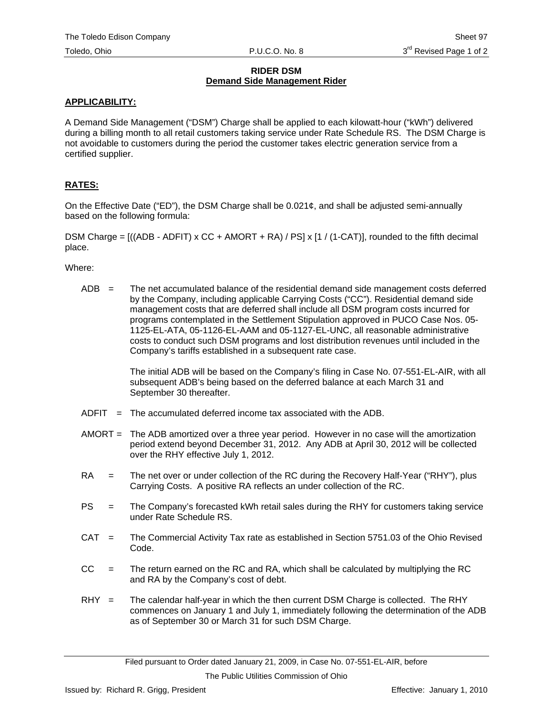#### **RIDER DSM Demand Side Management Rider**

#### **APPLICABILITY:**

A Demand Side Management ("DSM") Charge shall be applied to each kilowatt-hour ("kWh") delivered during a billing month to all retail customers taking service under Rate Schedule RS. The DSM Charge is not avoidable to customers during the period the customer takes electric generation service from a certified supplier.

### **RATES:**

On the Effective Date ("ED"), the DSM Charge shall be 0.021¢, and shall be adjusted semi-annually based on the following formula:

DSM Charge =  $((ADB - ADFIT) \times CC + AMORT + RA) / PS \times [1 / (1-CAT)],$  rounded to the fifth decimal place.

Where:

 $ADB =$  The net accumulated balance of the residential demand side management costs deferred by the Company, including applicable Carrying Costs ("CC"). Residential demand side management costs that are deferred shall include all DSM program costs incurred for programs contemplated in the Settlement Stipulation approved in PUCO Case Nos. 05- 1125-EL-ATA, 05-1126-EL-AAM and 05-1127-EL-UNC, all reasonable administrative costs to conduct such DSM programs and lost distribution revenues until included in the Company's tariffs established in a subsequent rate case.

> The initial ADB will be based on the Company's filing in Case No. 07-551-EL-AIR, with all subsequent ADB's being based on the deferred balance at each March 31 and September 30 thereafter.

- $ADFIT = The accumulated deferred income tax associated with the ADB.$
- AMORT = The ADB amortized over a three year period. However in no case will the amortization period extend beyond December 31, 2012. Any ADB at April 30, 2012 will be collected over the RHY effective July 1, 2012.
- RA = The net over or under collection of the RC during the Recovery Half-Year ("RHY"), plus Carrying Costs. A positive RA reflects an under collection of the RC.
- PS = The Company's forecasted kWh retail sales during the RHY for customers taking service under Rate Schedule RS.
- CAT = The Commercial Activity Tax rate as established in Section 5751.03 of the Ohio Revised Code.
- $CC =$  The return earned on the RC and RA, which shall be calculated by multiplying the RC and RA by the Company's cost of debt.
- $RHY =$  The calendar half-year in which the then current DSM Charge is collected. The RHY commences on January 1 and July 1, immediately following the determination of the ADB as of September 30 or March 31 for such DSM Charge.